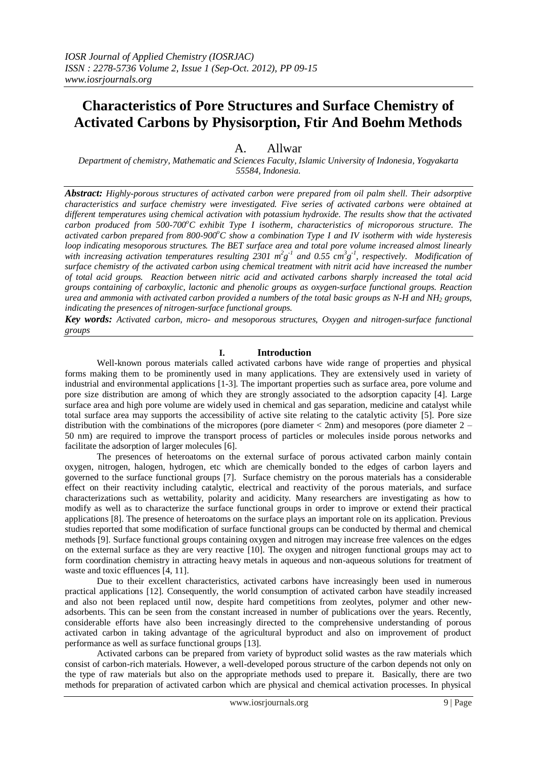# **Characteristics of Pore Structures and Surface Chemistry of Activated Carbons by Physisorption, Ftir And Boehm Methods**

# A. Allwar

*Department of chemistry, Mathematic and Sciences Faculty, Islamic University of Indonesia, Yogyakarta 55584, Indonesia.*

*Abstract: Highly-porous structures of activated carbon were prepared from oil palm shell. Their adsorptive characteristics and surface chemistry were investigated. Five series of activated carbons were obtained at different temperatures using chemical activation with potassium hydroxide. The results show that the activated carbon produced from 500-700<sup>o</sup>C exhibit Type I isotherm, characteristics of microporous structure. The activated carbon prepared from 800-900<sup>o</sup>C show a combination Type I and IV isotherm with wide hysteresis loop indicating mesoporous structures. The BET surface area and total pore volume increased almost linearly*  with increasing activation temperatures resulting 2301  $m^2g^{-1}$  and 0.55  $cm^3g^{-1}$ , respectively. Modification of *surface chemistry of the activated carbon using chemical treatment with nitrit acid have increased the number of total acid groups. Reaction between nitric acid and activated carbons sharply increased the total acid groups containing of carboxylic, lactonic and phenolic groups as oxygen-surface functional groups. Reaction urea and ammonia with activated carbon provided a numbers of the total basic groups as N-H and NH<sup>2</sup> groups, indicating the presences of nitrogen-surface functional groups.* 

*Key words: Activated carbon, micro- and mesoporous structures, Oxygen and nitrogen-surface functional groups*

#### **I. Introduction**

Well-known porous materials called activated carbons have wide range of properties and physical forms making them to be prominently used in many applications. They are extensively used in variety of industrial and environmental applications [1-3]. The important properties such as surface area, pore volume and pore size distribution are among of which they are strongly associated to the adsorption capacity [4]. Large surface area and high pore volume are widely used in chemical and gas separation, medicine and catalyst while total surface area may supports the accessibility of active site relating to the catalytic activity [5]. Pore size distribution with the combinations of the micropores (pore diameter < 2nm) and mesopores (pore diameter 2 – 50 nm) are required to improve the transport process of particles or molecules inside porous networks and facilitate the adsorption of larger molecules [6].

The presences of heteroatoms on the external surface of porous activated carbon mainly contain oxygen, nitrogen, halogen, hydrogen, etc which are chemically bonded to the edges of carbon layers and governed to the surface functional groups [7]. Surface chemistry on the porous materials has a considerable effect on their reactivity including catalytic, electrical and reactivity of the porous materials, and surface characterizations such as wettability, polarity and acidicity. Many researchers are investigating as how to modify as well as to characterize the surface functional groups in order to improve or extend their practical applications [8]. The presence of heteroatoms on the surface plays an important role on its application. Previous studies reported that some modification of surface functional groups can be conducted by thermal and chemical methods [9]. Surface functional groups containing oxygen and nitrogen may increase free valences on the edges on the external surface as they are very reactive [10]. The oxygen and nitrogen functional groups may act to form coordination chemistry in attracting heavy metals in aqueous and non-aqueous solutions for treatment of waste and toxic effluences [4, 11].

Due to their excellent characteristics, activated carbons have increasingly been used in numerous practical applications [12]. Consequently, the world consumption of activated carbon have steadily increased and also not been replaced until now, despite hard competitions from zeolytes, polymer and other newadsorbents. This can be seen from the constant increased in number of publications over the years. Recently, considerable efforts have also been increasingly directed to the comprehensive understanding of porous activated carbon in taking advantage of the agricultural byproduct and also on improvement of product performance as well as surface functional groups [13].

Activated carbons can be prepared from variety of byproduct solid wastes as the raw materials which consist of carbon-rich materials. However, a well-developed porous structure of the carbon depends not only on the type of raw materials but also on the appropriate methods used to prepare it. Basically, there are two methods for preparation of activated carbon which are physical and chemical activation processes. In physical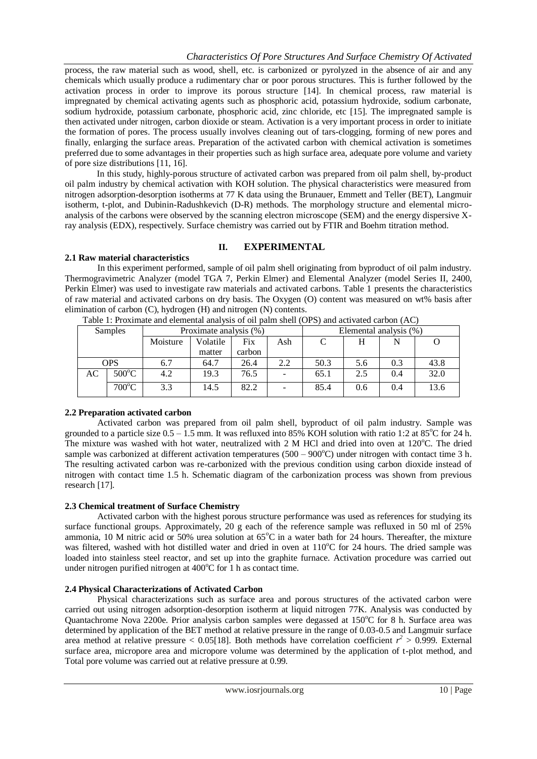process, the raw material such as wood, shell, etc. is carbonized or pyrolyzed in the absence of air and any chemicals which usually produce a rudimentary char or poor porous structures. This is further followed by the activation process in order to improve its porous structure [14]. In chemical process, raw material is impregnated by chemical activating agents such as phosphoric acid, potassium hydroxide, sodium carbonate, sodium hydroxide, potassium carbonate, phosphoric acid, zinc chloride, etc [15]. The impregnated sample is then activated under nitrogen, carbon dioxide or steam. Activation is a very important process in order to initiate the formation of pores. The process usually involves cleaning out of tars-clogging, forming of new pores and finally, enlarging the surface areas. Preparation of the activated carbon with chemical activation is sometimes preferred due to some advantages in their properties such as high surface area, adequate pore volume and variety of pore size distributions [11, 16].

In this study, highly-porous structure of activated carbon was prepared from oil palm shell, by-product oil palm industry by chemical activation with KOH solution. The physical characteristics were measured from nitrogen adsorption-desorption isotherms at 77 K data using the Brunauer, Emmett and Teller (BET), Langmuir isotherm, t-plot, and Dubinin-Radushkevich (D-R) methods. The morphology structure and elemental microanalysis of the carbons were observed by the scanning electron microscope (SEM) and the energy dispersive Xray analysis (EDX), respectively. Surface chemistry was carried out by FTIR and Boehm titration method.

## **II. EXPERIMENTAL**

## **2.1 Raw material characteristics**

In this experiment performed, sample of oil palm shell originating from byproduct of oil palm industry. Thermogravimetric Analyzer (model TGA 7, Perkin Elmer) and Elemental Analyzer (model Series II, 2400, Perkin Elmer) was used to investigate raw materials and activated carbons. Table 1 presents the characteristics of raw material and activated carbons on dry basis. The Oxygen (O) content was measured on wt% basis after elimination of carbon (C), hydrogen (H) and nitrogen (N) contents.

| TWOTE IT IT OILIIIWAY WILLE BIBIIIBIIWA WILWI JULU UL ULI PANIII ULIBII (UL N) WILW WE'R TWARD BAL UULI (L LU |                 |          |                        |        |                          |                        |     |     |      |
|---------------------------------------------------------------------------------------------------------------|-----------------|----------|------------------------|--------|--------------------------|------------------------|-----|-----|------|
| <b>Samples</b>                                                                                                |                 |          | Proximate analysis (%) |        |                          | Elemental analysis (%) |     |     |      |
|                                                                                                               |                 | Moisture | Volatile               | Fix    | Ash                      |                        |     |     |      |
|                                                                                                               |                 |          | matter                 | carbon |                          |                        |     |     |      |
| <b>OPS</b>                                                                                                    |                 | 6.7      | 64.7                   | 26.4   | 2.2                      | 50.3                   | 5.6 | 0.3 | 43.8 |
| AC                                                                                                            | $500^{\circ}$ C | 4.2      | 19.3                   | 76.5   | $\overline{\phantom{0}}$ | 65.1                   | 2.5 | 0.4 | 32.0 |
|                                                                                                               | $700^{\circ}$ C | 3.3      | 14.5                   | 82.2   | -                        | 85.4                   | 0.6 | 0.4 | 13.6 |

Table 1: Proximate and elemental analysis of oil palm shell (OPS) and activated carbon (AC)

## **2.2 Preparation activated carbon**

Activated carbon was prepared from oil palm shell, byproduct of oil palm industry. Sample was grounded to a particle size  $0.5 - 1.5$  mm. It was refluxed into 85% KOH solution with ratio 1:2 at 85°C for 24 h. The mixture was washed with hot water, neutralized with  $2 \text{ M}$  HCl and dried into oven at 120 $^{\circ}$ C. The dried sample was carbonized at different activation temperatures  $(500 - 900^{\circ}C)$  under nitrogen with contact time 3 h. The resulting activated carbon was re-carbonized with the previous condition using carbon dioxide instead of nitrogen with contact time 1.5 h. Schematic diagram of the carbonization process was shown from previous research [17].

## **2.3 Chemical treatment of Surface Chemistry**

Activated carbon with the highest porous structure performance was used as references for studying its surface functional groups. Approximately, 20 g each of the reference sample was refluxed in 50 ml of 25% ammonia, 10 M nitric acid or 50% urea solution at 65°C in a water bath for 24 hours. Thereafter, the mixture was filtered, washed with hot distilled water and dried in oven at 110°C for 24 hours. The dried sample was loaded into stainless steel reactor, and set up into the graphite furnace. Activation procedure was carried out under nitrogen purified nitrogen at  $400^{\circ}$ C for 1 h as contact time.

## **2.4 Physical Characterizations of Activated Carbon**

Physical characterizations such as surface area and porous structures of the activated carbon were carried out using nitrogen adsorption-desorption isotherm at liquid nitrogen 77K. Analysis was conducted by Quantachrome Nova 2200e. Prior analysis carbon samples were degassed at  $150^{\circ}$ C for 8 h. Surface area was determined by application of the BET method at relative pressure in the range of 0.03-0.5 and Langmuir surface area method at relative pressure <  $0.05[18]$ . Both methods have correlation coefficient  $r^2 > 0.999$ . External surface area, micropore area and micropore volume was determined by the application of t-plot method, and Total pore volume was carried out at relative pressure at 0.99.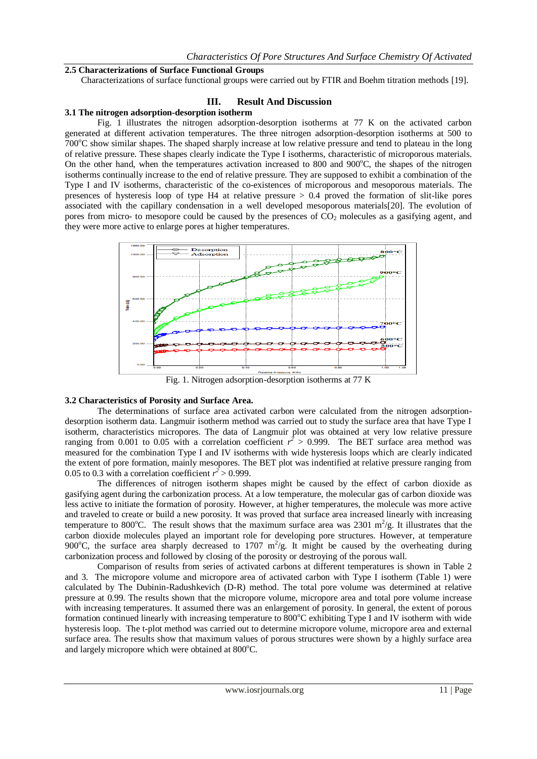#### **2.5 Characterizations of Surface Functional Groups**

Characterizations of surface functional groups were carried out by FTIR and Boehm titration methods [19].

#### **III. Result And Discussion**

#### **3.1 The nitrogen adsorption-desorption isotherm**

Fig. 1 illustrates the nitrogen adsorption-desorption isotherms at 77 K on the activated carbon generated at different activation temperatures. The three nitrogen adsorption-desorption isotherms at 500 to  $700^{\circ}$ C show similar shapes. The shaped sharply increase at low relative pressure and tend to plateau in the long of relative pressure. These shapes clearly indicate the Type I isotherms, characteristic of microporous materials. On the other hand, when the temperatures activation increased to 800 and  $900^{\circ}$ C, the shapes of the nitrogen isotherms continually increase to the end of relative pressure. They are supposed to exhibit a combination of the Type I and IV isotherms, characteristic of the co-existences of microporous and mesoporous materials. The presences of hysteresis loop of type  $H4$  at relative pressure  $> 0.4$  proved the formation of slit-like pores associated with the capillary condensation in a well developed mesoporous materials[20]. The evolution of pores from micro- to mesopore could be caused by the presences of  $CO<sub>2</sub>$  molecules as a gasifying agent, and they were more active to enlarge pores at higher temperatures.



Fig. 1. Nitrogen adsorption-desorption isotherms at 77 K

#### **3.2 Characteristics of Porosity and Surface Area.**

The determinations of surface area activated carbon were calculated from the nitrogen adsorptiondesorption isotherm data. Langmuir isotherm method was carried out to study the surface area that have Type I isotherm, characteristics micropores. The data of Langmuir plot was obtained at very low relative pressure ranging from 0.001 to 0.05 with a correlation coefficient  $r^2 > 0.999$ . The BET surface area method was measured for the combination Type I and IV isotherms with wide hysteresis loops which are clearly indicated the extent of pore formation, mainly mesopores. The BET plot was indentified at relative pressure ranging from 0.05 to 0.3 with a correlation coefficient  $r^2 > 0.999$ .

The differences of nitrogen isotherm shapes might be caused by the effect of carbon dioxide as gasifying agent during the carbonization process. At a low temperature, the molecular gas of carbon dioxide was less active to initiate the formation of porosity. However, at higher temperatures, the molecule was more active and traveled to create or build a new porosity. It was proved that surface area increased linearly with increasing temperature to 800°C. The result shows that the maximum surface area was 2301 m<sup>2</sup>/g. It illustrates that the carbon dioxide molecules played an important role for developing pore structures. However, at temperature 900°C, the surface area sharply decreased to 1707  $m^2/g$ . It might be caused by the overheating during carbonization process and followed by closing of the porosity or destroying of the porous wall.

Comparison of results from series of activated carbons at different temperatures is shown in Table 2 and 3. The micropore volume and micropore area of activated carbon with Type I isotherm (Table 1) were calculated by The Dubinin-Radushkevich (D-R) method. The total pore volume was determined at relative pressure at 0.99. The results shown that the micropore volume, micropore area and total pore volume increase with increasing temperatures. It assumed there was an enlargement of porosity. In general, the extent of porous formation continued linearly with increasing temperature to 800°C exhibiting Type I and IV isotherm with wide hysteresis loop. The t-plot method was carried out to determine micropore volume, micropore area and external surface area. The results show that maximum values of porous structures were shown by a highly surface area and largely micropore which were obtained at  $800^{\circ}$ C.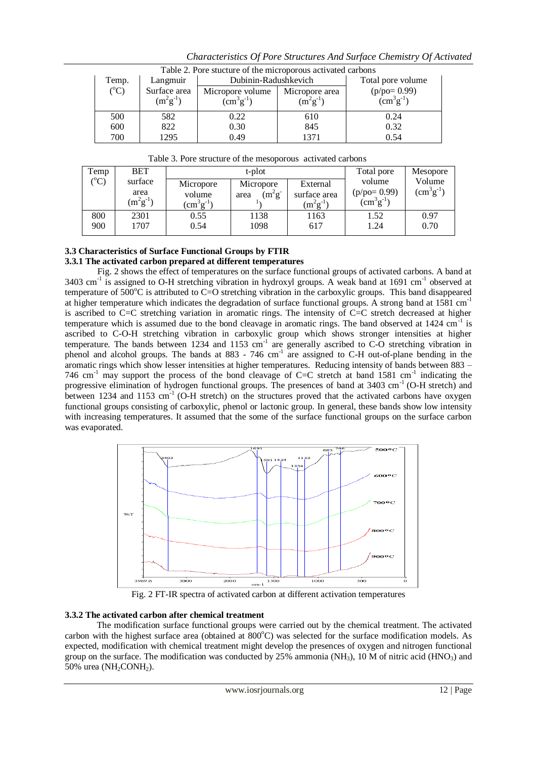| Table 2. Pore stucture of the microporous activated carbons |               |                                     |      |                               |  |  |  |  |
|-------------------------------------------------------------|---------------|-------------------------------------|------|-------------------------------|--|--|--|--|
| Temp.                                                       | Langmuir      | Total pore volume                   |      |                               |  |  |  |  |
| $({}^{\circ}C)$                                             | Surface area  | Micropore volume<br>Micropore area  |      | $(p/po=0.99)$                 |  |  |  |  |
|                                                             | $(m^2g^{-1})$ | $\rm (cm^3g^{-1})$<br>$(m^2g^{-1})$ |      | $\text{cm}^3 \text{g}^{-1}$ ) |  |  |  |  |
| 500                                                         | 582           | 0.22                                | 610  | 0.24                          |  |  |  |  |
| 600                                                         | 822           | 0.30                                | 845  | 0.32                          |  |  |  |  |
| 700                                                         | 1295          | 0.49                                | 1371 | 0.54                          |  |  |  |  |

*Characteristics Of Pore Structures And Surface Chemistry Of Activated* 

|     | Table 3. Pore structure of the mesoporous activated carbons |  |
|-----|-------------------------------------------------------------|--|
| --- |                                                             |  |

| Temp            | <b>BET</b><br>surface<br>area<br>$(m^2g^{-1})$ |                                           | t-plot                          | Total pore                                | Mesopore                                    |                            |
|-----------------|------------------------------------------------|-------------------------------------------|---------------------------------|-------------------------------------------|---------------------------------------------|----------------------------|
| $({}^{\circ}C)$ |                                                | Micropore<br>volume<br>$\rm (cm^3g^{-1})$ | Micropore<br>$(m^2g^-)$<br>area | External<br>surface area<br>$(m^2g^{-1})$ | volume<br>$(p/po=0.99)$<br>$(cm^{3}g^{-1})$ | Volume<br>$(cm^{3}g^{-1})$ |
| 800<br>900      | 2301<br>1707                                   | 0.55<br>0.54                              | 1138<br>1098                    | 1163<br>617                               | 1.52<br>1.24                                | 0.97<br>0.70               |

#### **3.3 Characteristics of Surface Functional Groups by FTIR 3.3.1 The activated carbon prepared at different temperatures**

Fig. 2 shows the effect of temperatures on the surface functional groups of activated carbons. A band at 3403 cm<sup>-1</sup> is assigned to O-H stretching vibration in hydroxyl groups. A weak band at 1691 cm<sup>-1</sup> observed at temperature of  $500^{\circ}$ C is attributed to C=O stretching vibration in the carboxylic groups. This band disappeared at higher temperature which indicates the degradation of surface functional groups. A strong band at  $1581 \text{ cm}^{-1}$ is ascribed to C=C stretching variation in aromatic rings. The intensity of C=C stretch decreased at higher temperature which is assumed due to the bond cleavage in aromatic rings. The band observed at  $1424 \text{ cm}^{-1}$  is ascribed to C-O-H stretching vibration in carboxylic group which shows stronger intensities at higher temperature. The bands between 1234 and 1153  $cm^{-1}$  are generally ascribed to C-O stretching vibration in phenol and alcohol groups. The bands at 883 - 746 cm<sup>-1</sup> are assigned to C-H out-of-plane bending in the aromatic rings which show lesser intensities at higher temperatures. Reducing intensity of bands between 883 – 746 cm<sup>-1</sup> may support the process of the bond cleavage of C=C stretch at band 1581 cm<sup>-1</sup> indicating the progressive elimination of hydrogen functional groups. The presences of band at  $3403 \text{ cm}^{-1}$  (O-H stretch) and between 1234 and 1153 cm<sup>-1</sup> (O-H stretch) on the structures proved that the activated carbons have oxygen functional groups consisting of carboxylic, phenol or lactonic group. In general, these bands show low intensity with increasing temperatures. It assumed that the some of the surface functional groups on the surface carbon was evaporated.



Fig. 2 FT-IR spectra of activated carbon at different activation temperatures

## **3.3.2 The activated carbon after chemical treatment**

The modification surface functional groups were carried out by the chemical treatment. The activated carbon with the highest surface area (obtained at 800°C) was selected for the surface modification models. As expected, modification with chemical treatment might develop the presences of oxygen and nitrogen functional group on the surface. The modification was conducted by  $25\%$  ammonia (NH<sub>3</sub>), 10 M of nitric acid (HNO<sub>3</sub>) and 50% urea ( $NH<sub>2</sub>$ CONH<sub>2</sub>).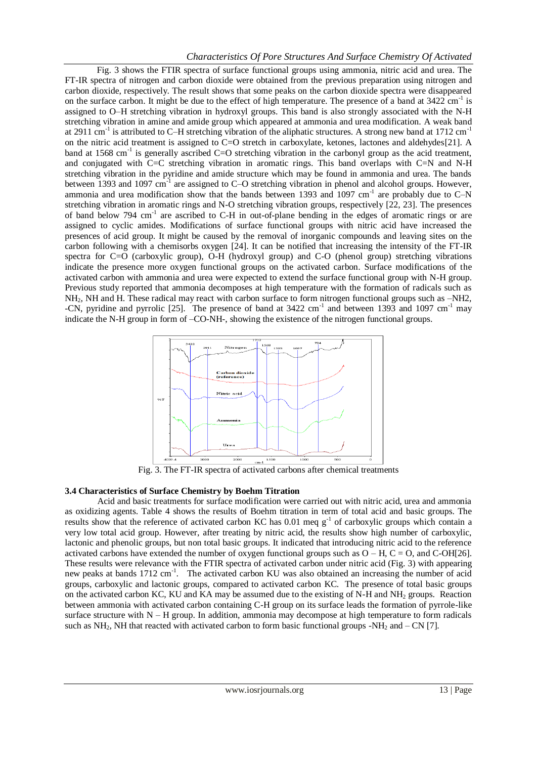## *Characteristics Of Pore Structures And Surface Chemistry Of Activated*

Fig. 3 shows the FTIR spectra of surface functional groups using ammonia, nitric acid and urea. The FT-IR spectra of nitrogen and carbon dioxide were obtained from the previous preparation using nitrogen and carbon dioxide, respectively. The result shows that some peaks on the carbon dioxide spectra were disappeared on the surface carbon. It might be due to the effect of high temperature. The presence of a band at  $3422 \text{ cm}^{-1}$  is assigned to O–H stretching vibration in hydroxyl groups. This band is also strongly associated with the N-H stretching vibration in amine and amide group which appeared at ammonia and urea modification. A weak band at 2911 cm<sup>-1</sup> is attributed to C–H stretching vibration of the aliphatic structures. A strong new band at 1712 cm<sup>-1</sup> on the nitric acid treatment is assigned to C=O stretch in carboxylate, ketones, lactones and aldehydes[21]. A band at 1568 cm<sup>-1</sup> is generally ascribed C=O stretching vibration in the carbonyl group as the acid treatment, and conjugated with C=C stretching vibration in aromatic rings. This band overlaps with C=N and N-H stretching vibration in the pyridine and amide structure which may be found in ammonia and urea. The bands between 1393 and 1097 cm<sup>-1</sup> are assigned to C–O stretching vibration in phenol and alcohol groups. However, ammonia and urea modification show that the bands between 1393 and  $1097 \text{ cm}^{-1}$  are probably due to C-N stretching vibration in aromatic rings and N-O stretching vibration groups, respectively [22, 23]. The presences of band below 794 cm<sup>-1</sup> are ascribed to C-H in out-of-plane bending in the edges of aromatic rings or are assigned to cyclic amides. Modifications of surface functional groups with nitric acid have increased the presences of acid group. It might be caused by the removal of inorganic compounds and leaving sites on the carbon following with a chemisorbs oxygen [24]. It can be notified that increasing the intensity of the FT-IR spectra for C=O (carboxylic group), O-H (hydroxyl group) and C-O (phenol group) stretching vibrations indicate the presence more oxygen functional groups on the activated carbon. Surface modifications of the activated carbon with ammonia and urea were expected to extend the surface functional group with N-H group. Previous study reported that ammonia decomposes at high temperature with the formation of radicals such as NH<sub>2</sub>, NH and H. These radical may react with carbon surface to form nitrogen functional groups such as  $-NH2$ , -CN, pyridine and pyrrolic [25]. The presence of band at 3422 cm<sup>-1</sup> and between 1393 and 1097 cm<sup>-1</sup> may indicate the N-H group in form of –CO-NH-, showing the existence of the nitrogen functional groups.



## **3.4 Characteristics of Surface Chemistry by Boehm Titration**

Acid and basic treatments for surface modification were carried out with nitric acid, urea and ammonia as oxidizing agents. Table 4 shows the results of Boehm titration in term of total acid and basic groups. The results show that the reference of activated carbon KC has  $0.01$  meq g<sup>-1</sup> of carboxylic groups which contain a very low total acid group. However, after treating by nitric acid, the results show high number of carboxylic, lactonic and phenolic groups, but non total basic groups. It indicated that introducing nitric acid to the reference activated carbons have extended the number of oxygen functional groups such as  $O - H$ ,  $C = O$ , and  $C$ -OH[26]. These results were relevance with the FTIR spectra of activated carbon under nitric acid (Fig. 3) with appearing new peaks at bands 1712 cm<sup>-1</sup>. The activated carbon KU was also obtained an increasing the number of acid groups, carboxylic and lactonic groups, compared to activated carbon KC. The presence of total basic groups on the activated carbon KC, KU and KA may be assumed due to the existing of N-H and NH<sub>2</sub> groups. Reaction between ammonia with activated carbon containing C-H group on its surface leads the formation of pyrrole-like surface structure with  $N - H$  group. In addition, ammonia may decompose at high temperature to form radicals such as  $NH_2$ , NH that reacted with activated carbon to form basic functional groups -NH<sub>2</sub> and – CN [7].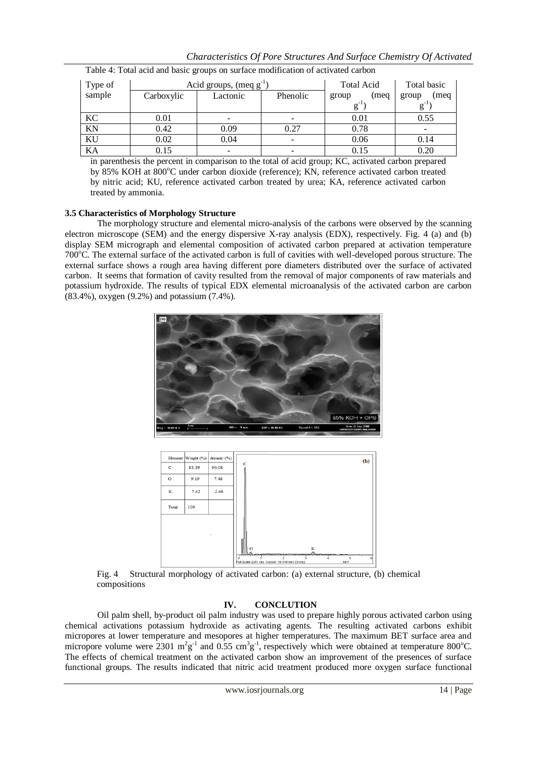| Tuesday is Total active and easily groups on surface modification of activation careon |            |                                    |                   |               |               |  |  |  |
|----------------------------------------------------------------------------------------|------------|------------------------------------|-------------------|---------------|---------------|--|--|--|
| Type of                                                                                |            | Acid groups, $(\text{meq g}^{-1})$ | <b>Total Acid</b> | Total basic   |               |  |  |  |
| sample                                                                                 | Carboxylic | Lactonic                           | Phenolic          | (meg<br>group | (meq<br>group |  |  |  |
|                                                                                        |            |                                    |                   |               |               |  |  |  |
| KC                                                                                     | 0.01       |                                    |                   | 0.01          | 0.55          |  |  |  |
| KN                                                                                     | 0.42       | 0.09                               | 0.27              | 0.78          |               |  |  |  |
| KU                                                                                     | 0.02       | 0.04                               |                   | 0.06          | 0.14          |  |  |  |
| KA                                                                                     | 0.15       |                                    |                   | 0.15          | 0.20          |  |  |  |

Table 4: Total acid and basic groups on surface modification of activated carbon

in parenthesis the percent in comparison to the total of acid group; KC, activated carbon prepared by 85% KOH at 800°C under carbon dioxide (reference); KN, reference activated carbon treated by nitric acid; KU, reference activated carbon treated by urea; KA, reference activated carbon treated by ammonia.

## **3.5 Characteristics of Morphology Structure**

The morphology structure and elemental micro-analysis of the carbons were observed by the scanning electron microscope (SEM) and the energy dispersive X-ray analysis (EDX), respectively. Fig. 4 (a) and (b) display SEM micrograph and elemental composition of activated carbon prepared at activation temperature 700<sup>o</sup>C. The external surface of the activated carbon is full of cavities with well-developed porous structure. The external surface shows a rough area having different pore diameters distributed over the surface of activated carbon. It seems that formation of cavity resulted from the removal of major components of raw materials and potassium hydroxide. The results of typical EDX elemental microanalysis of the activated carbon are carbon (83.4%), oxygen (9.2%) and potassium (7.4%).





Fig. 4 Structural morphology of activated carbon: (a) external structure, (b) chemical compositions

## **IV. CONCLUTION**

Oil palm shell, by-product oil palm industry was used to prepare highly porous activated carbon using chemical activations potassium hydroxide as activating agents. The resulting activated carbons exhibit micropores at lower temperature and mesopores at higher temperatures. The maximum BET surface area and micropore volume were 2301  $m^2g^{-1}$  and 0.55 cm<sup>3</sup>g<sup>-1</sup>, respectively which were obtained at temperature 800°C. The effects of chemical treatment on the activated carbon show an improvement of the presences of surface functional groups. The results indicated that nitric acid treatment produced more oxygen surface functional